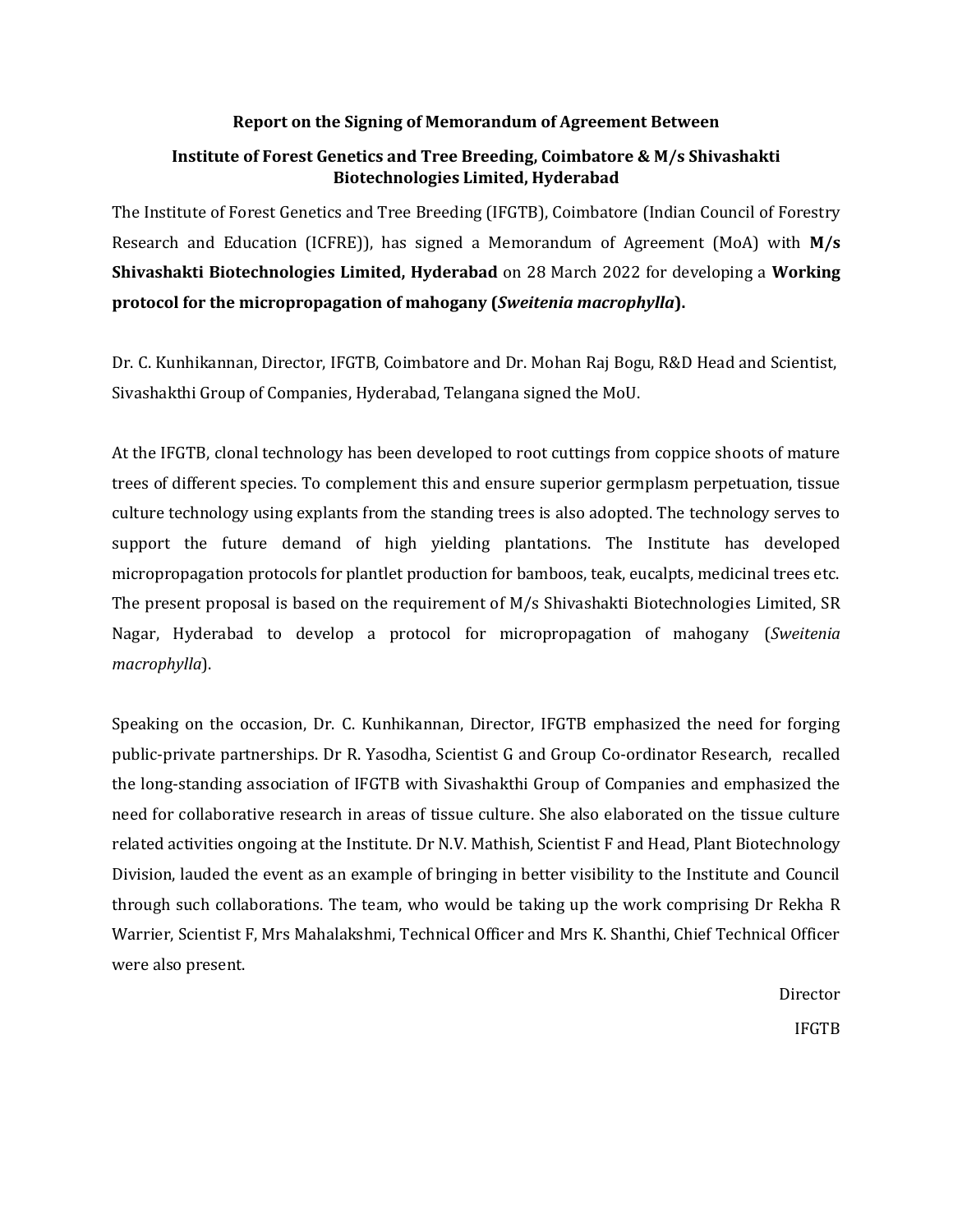## **Report on the Signing of Memorandum of Agreement Between**

## **Institute of Forest Genetics and Tree Breeding, Coimbatore & M/s Shivashakti Biotechnologies Limited, Hyderabad**

The Institute of Forest Genetics and Tree Breeding (IFGTB), Coimbatore (Indian Council of Forestry Research and Education (ICFRE)), has signed a Memorandum of Agreement (MoA) with **M/s Shivashakti Biotechnologies Limited, Hyderabad** on 28 March 2022 for developing a **Working protocol for the micropropagation of mahogany (***Sweitenia macrophylla***).** 

Dr. C. Kunhikannan, Director, IFGTB, Coimbatore and Dr. Mohan Raj Bogu, R&D Head and Scientist, Sivashakthi Group of Companies, Hyderabad, Telangana signed the MoU.

At the IFGTB, clonal technology has been developed to root cuttings from coppice shoots of mature trees of different species. To complement this and ensure superior germplasm perpetuation, tissue culture technology using explants from the standing trees is also adopted. The technology serves to support the future demand of high yielding plantations. The Institute has developed micropropagation protocols for plantlet production for bamboos, teak, eucalpts, medicinal trees etc. The present proposal is based on the requirement of M/s Shivashakti Biotechnologies Limited, SR Nagar, Hyderabad to develop a protocol for micropropagation of mahogany (*Sweitenia macrophylla*).

Speaking on the occasion, Dr. C. Kunhikannan, Director, IFGTB emphasized the need for forging public-private partnerships. Dr R. Yasodha, Scientist G and Group Co-ordinator Research, recalled the long-standing association of IFGTB with Sivashakthi Group of Companies and emphasized the need for collaborative research in areas of tissue culture. She also elaborated on the tissue culture related activities ongoing at the Institute. Dr N.V. Mathish, Scientist F and Head, Plant Biotechnology Division, lauded the event as an example of bringing in better visibility to the Institute and Council through such collaborations. The team, who would be taking up the work comprising Dr Rekha R Warrier, Scientist F, Mrs Mahalakshmi, Technical Officer and Mrs K. Shanthi, Chief Technical Officer were also present.

> Director IFGTB